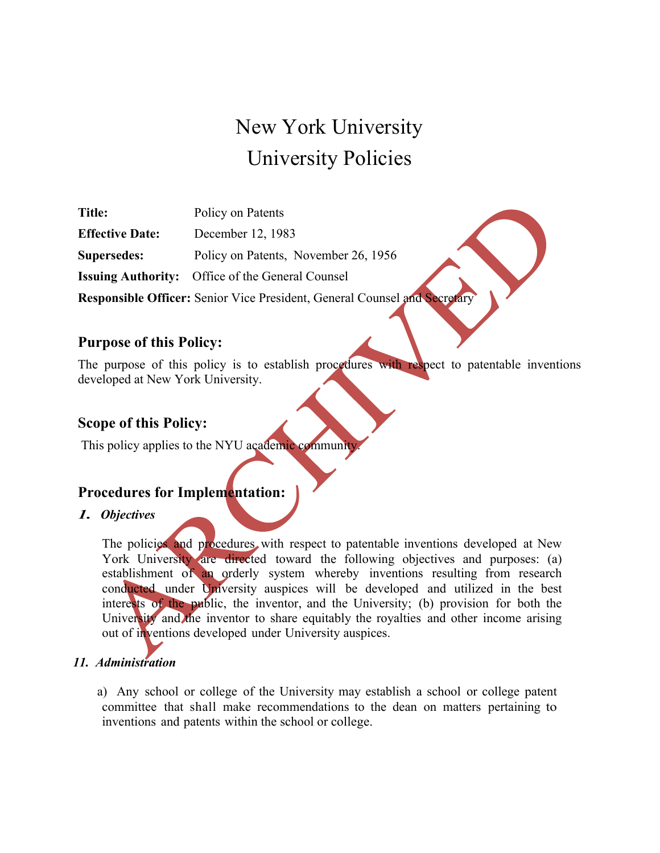# New York University University Policies

| <b>Title:</b>          | Policy on Patents                                                         |
|------------------------|---------------------------------------------------------------------------|
| <b>Effective Date:</b> | December 12, 1983                                                         |
| <b>Supersedes:</b>     | Policy on Patents, November 26, 1956                                      |
|                        | <b>Issuing Authority:</b> Office of the General Counsel                   |
|                        | Responsible Officer: Senior Vice President, General Counsel and Secretary |

## **Purpose of this Policy:**

The purpose of this policy is to establish procedures with respect to patentable inventions developed at New York University.

## **Scope of this Policy:**

This policy applies to the NYU academic community.

## **Procedures for Implementation:**

*1. Objectives*

The policies and procedures with respect to patentable inventions developed at New York University are directed toward the following objectives and purposes: (a) establishment of an orderly system whereby inventions resulting from research conducted under University auspices will be developed and utilized in the best interests of the public, the inventor, and the University; (b) provision for both the University and the inventor to share equitably the royalties and other income arising out of inventions developed under University auspices.

#### *11. Administration*

a) Any school or college of the University may establish a school or college patent committee that shall make recommendations to the dean on matters pertaining to inventions and patents within the school or college.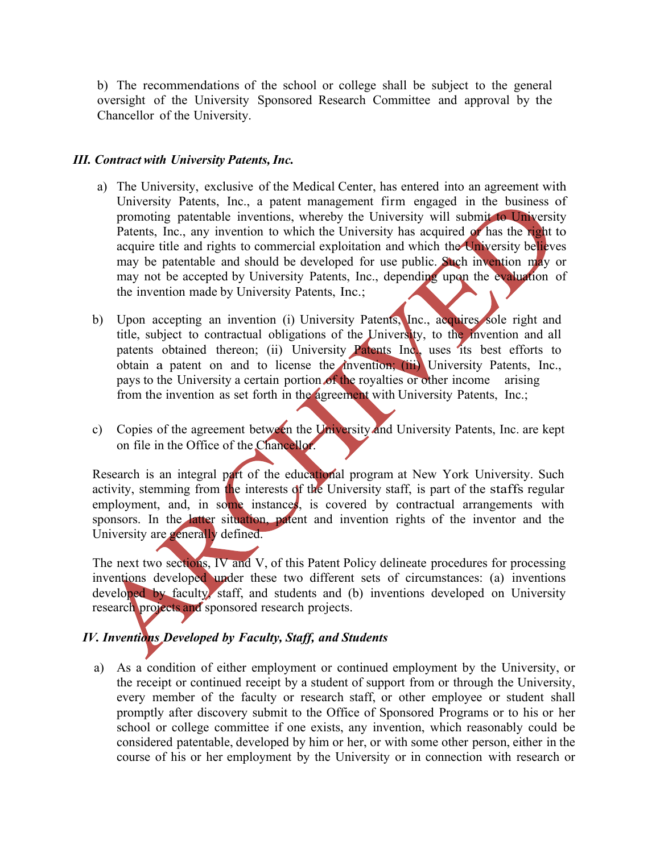b) The recommendations of the school or college shall be subject to the general oversight of the University Sponsored Research Committee and approval by the Chancellor of the University.

#### *III. Contract with University Patents,Inc.*

- a) The University, exclusive of the Medical Center, has entered into an agreement with University Patents, Inc., a patent management firm engaged in the business of promoting patentable inventions, whereby the University will submit to University Patents, Inc., any invention to which the University has acquired or has the right to acquire title and rights to commercial exploitation and which the University believes may be patentable and should be developed for use public. Such invention may or may not be accepted by University Patents, Inc., depending upon the evaluation of the invention made by University Patents, Inc.;
- b) Upon accepting an invention (i) University Patents, Inc., acquires sole right and title, subject to contractual obligations of the University, to the invention and all patents obtained thereon; (ii) University Patents Inc., uses its best efforts to obtain a patent on and to license the invention; (iii) University Patents, Inc., pays to the University a certain portion of the royalties or other income arising from the invention as set forth in the agreement with University Patents, Inc.;
- c) Copies of the agreement between the University and University Patents, Inc. are kept on file in the Office of the Chancellor.

Research is an integral part of the educational program at New York University. Such activity, stemming from the interests of the University staff, is part of the staffs regular employment, and, in some instances, is covered by contractual arrangements with sponsors. In the latter situation, patent and invention rights of the inventor and the University are generally defined.

The next two sections, IV and V, of this Patent Policy delineate procedures for processing inventions developed under these two different sets of circumstances: (a) inventions developed by faculty, staff, and students and (b) inventions developed on University research projects and sponsored research projects.

## *IV. Inventions Developed by Faculty, Staff, and Students*

 a)As a condition of either employment or continued employment by the University, or the receipt or continued receipt by a student of support from or through the University, every member of the faculty or research staff, or other employee or student shall promptly after discovery submit to the Office of Sponsored Programs or to his or her school or college committee if one exists, any invention, which reasonably could be considered patentable, developed by him or her, or with some other person, either in the course of his or her employment by the University or in connection with research or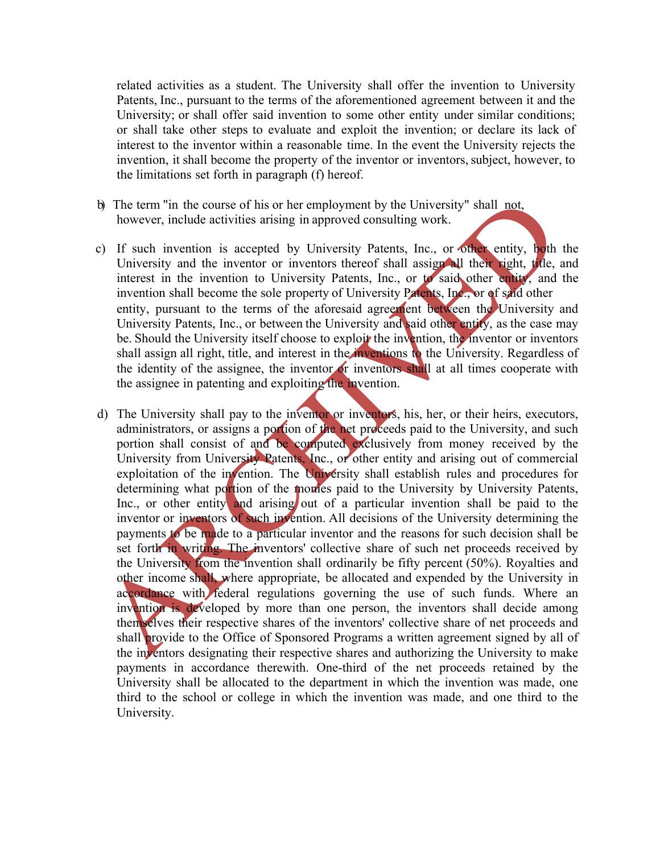related activities as a student. The University shall offer the invention to University Patents, Inc., pursuant to the terms of the aforementioned agreement between it and the University; or shall offer said invention to some other entity under similar conditions; or shall take other steps to evaluate and exploit the invention; or declare its lack of interest to the inventor within a reasonable time. In the event the University rejects the invention, it shall become the property of the inventor or inventors, subject, however, to the limitations set forth in paragraph (f) hereof.

- b) The term "in the course of his or her employment by the University" shall not, however, include activities arising in approved consulting work.
- c) If such invention is accepted by University Patents, Inc., or other entity, both the University and the inventor or inventors thereof shall assign all their right, title, and interest in the invention to University Patents, Inc., or to said other entity, and the invention shall become the sole property of University Patents, Inc., or of said other entity, pursuant to the terms of the aforesaid agreement between the University and University Patents, Inc., or between the University and said other entity, as the case may be. Should the University itself choose to exploit the invention, the inventor or inventors shall assign all right, title, and interest in the inventions to the University. Regardless of the identity of the assignee, the inventor or inventors shall at all times cooperate with the assignee in patenting and exploiting the invention.
- d) The University shall pay to the inventor or inventors, his, her, or their heirs, executors, administrators, or assigns a portion of the net proceeds paid to the University, and such portion shall consist of and be computed exclusively from money received by the University from University Patents, Inc., or other entity and arising out of commercial exploitation of the invention. The University shall establish rules and procedures for determining what portion of the monies paid to the University by University Patents, Inc., or other entity and arising out of a particular invention shall be paid to the inventor or inventors of such invention. All decisions of the University determining the payments to be made to a particular inventor and the reasons for such decision shall be set forth in writing. The inventors' collective share of such net proceeds received by the University from the invention shall ordinarily be fifty percent (50%). Royalties and other income shall, where appropriate, be allocated and expended by the University in accordance with federal regulations governing the use of such funds. Where an invention is developed by more than one person, the inventors shall decide among themselves their respective shares of the inventors' collective share of net proceeds and shall provide to the Office of Sponsored Programs a written agreement signed by all of the inventors designating their respective shares and authorizing the University to make payments in accordance therewith. One-third of the net proceeds retained by the University shall be allocated to the department in which the invention was made, one third to the school or college in which the invention was made, and one third to the University.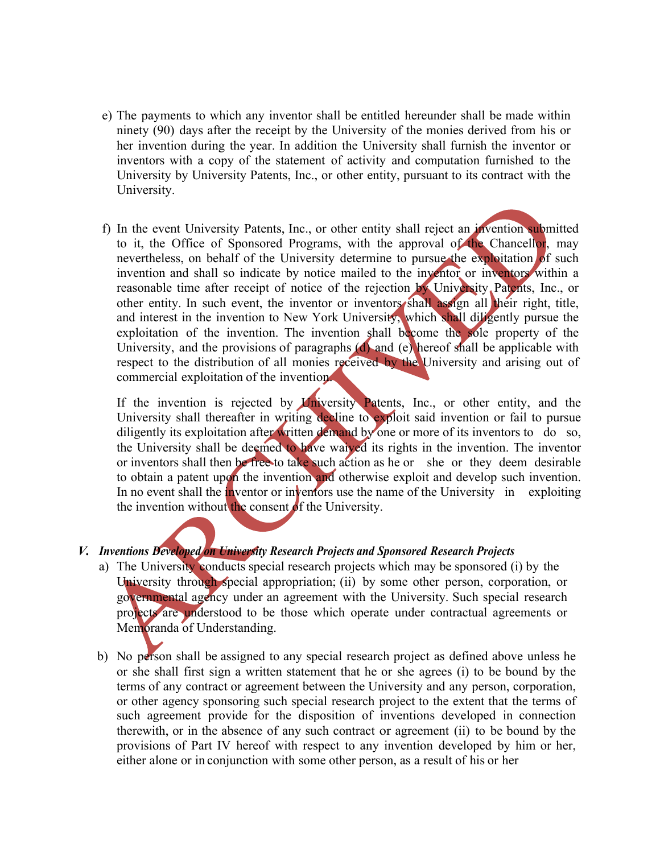- e) The payments to which any inventor shall be entitled hereunder shall be made within ninety (90) days after the receipt by the University of the monies derived from his or her invention during the year. In addition the University shall furnish the inventor or inventors with a copy of the statement of activity and computation furnished to the University by University Patents, Inc., or other entity, pursuant to its contract with the University.
- f) In the event University Patents, Inc., or other entity shall reject an invention submitted to it, the Office of Sponsored Programs, with the approval of the Chancellor, may nevertheless, on behalf of the University determine to pursue the exploitation of such invention and shall so indicate by notice mailed to the inventor or inventors within a reasonable time after receipt of notice of the rejection by University Patents, Inc., or other entity. In such event, the inventor or inventors shall assign all their right, title, and interest in the invention to New York University, which shall diligently pursue the exploitation of the invention. The invention shall become the sole property of the University, and the provisions of paragraphs (d) and (e) hereof shall be applicable with respect to the distribution of all monies received by the University and arising out of commercial exploitation of the invention.

If the invention is rejected by *University Patents*, Inc., or other entity, and the University shall thereafter in writing decline to exploit said invention or fail to pursue diligently its exploitation after written demand by one or more of its inventors to do so, the University shall be deemed to have waived its rights in the invention. The inventor or inventors shall then be free to take such action as he or she or they deem desirable to obtain a patent upon the invention and otherwise exploit and develop such invention. In no event shall the inventor or inventors use the name of the University in exploiting the invention without the consent of the University.

#### *V. Inventions Developed on University Research Projects and Sponsored Research Projects*

- a) The University conducts special research projects which may be sponsored (i) by the University through special appropriation; (ii) by some other person, corporation, or governmental agency under an agreement with the University. Such special research projects are understood to be those which operate under contractual agreements or Memoranda of Understanding.
- b) No person shall be assigned to any special research project as defined above unless he or she shall first sign a written statement that he or she agrees (i) to be bound by the terms of any contract or agreement between the University and any person, corporation, or other agency sponsoring such special research project to the extent that the terms of such agreement provide for the disposition of inventions developed in connection therewith, or in the absence of any such contract or agreement (ii) to be bound by the provisions of Part IV hereof with respect to any invention developed by him or her, either alone or in conjunction with some other person, as a result of his or her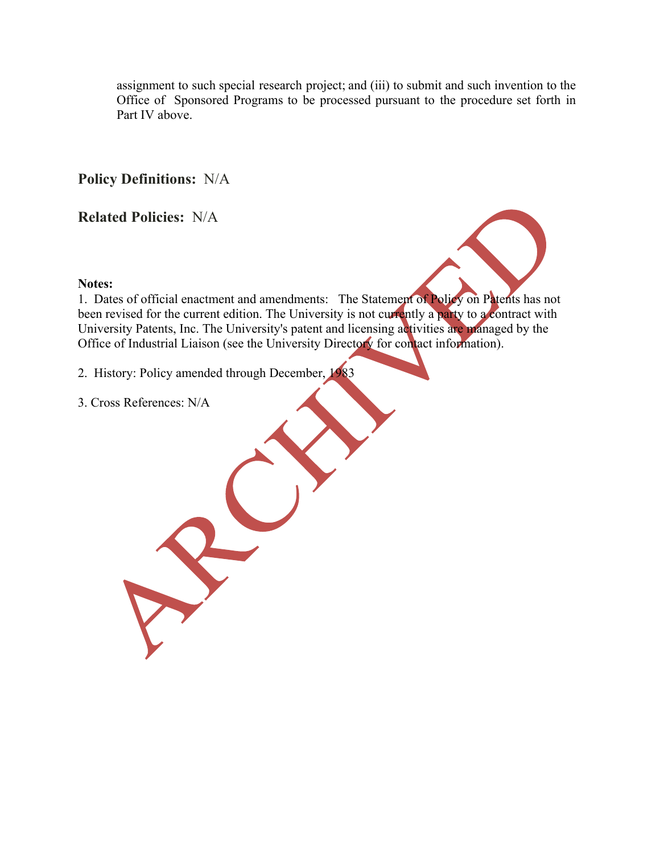assignment to such special research project; and (iii) to submit and such invention to the Office of Sponsored Programs to be processed pursuant to the procedure set forth in Part IV above.

**Policy Definitions:** N/A

**Related Policies:** N/A

#### **Notes:**

1. Dates of official enactment and amendments: The Statement of Policy on Patents has not been revised for the current edition. The University is not currently a party to a contract with University Patents, Inc. The University's patent and licensing activities are managed by the Office of Industrial Liaison (see the University Directory for contact information).

2. History: Policy amended through December, 1983

3. Cross References: N/A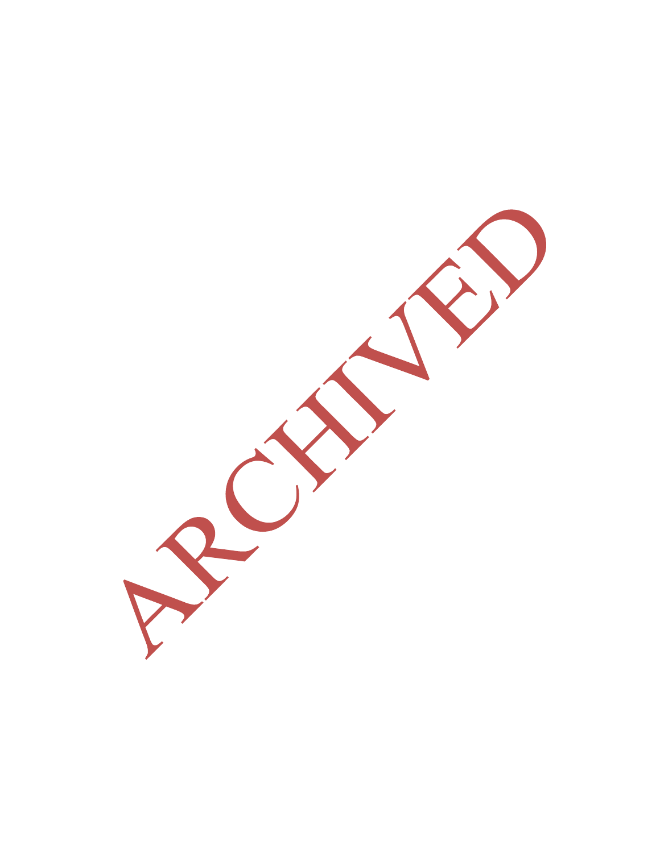**PRODUCTION**